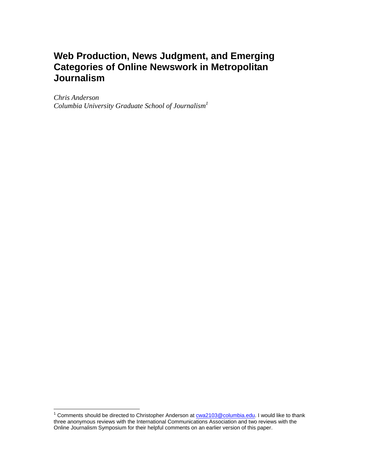# **Web Production, News Judgment, and Emerging Categories of Online Newswork in Metropolitan Journalism**

*Chris Anderson Columbia University Graduate School of Journalism1*

 1 Comments should be directed to Christopher Anderson at cwa2103@columbia.edu. I would like to thank three anonymous reviews with the International Communications Association and two reviews with the Online Journalism Symposium for their helpful comments on an earlier version of this paper.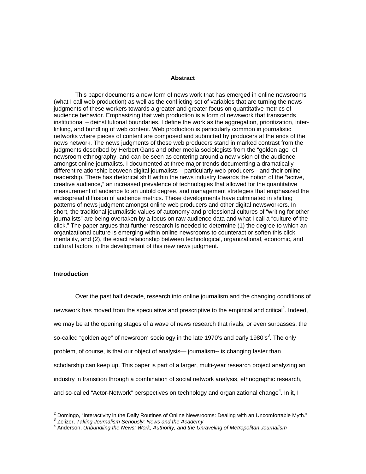#### **Abstract**

This paper documents a new form of news work that has emerged in online newsrooms (what I call web production) as well as the conflicting set of variables that are turning the news judgments of these workers towards a greater and greater focus on quantitative metrics of audience behavior. Emphasizing that web production is a form of newswork that transcends institutional – deinstitutional boundaries, I define the work as the aggregation, prioritization, interlinking, and bundling of web content. Web production is particularly common in journalistic networks where pieces of content are composed and submitted by producers at the ends of the news network. The news judgments of these web producers stand in marked contrast from the judgments described by Herbert Gans and other media sociologists from the "golden age" of newsroom ethnography, and can be seen as centering around a new vision of the audience amongst online journalists. I documented at three major trends documenting a dramatically different relationship between digital journalists – particularly web producers-- and their online readership. There has rhetorical shift within the news industry towards the notion of the "active, creative audience," an increased prevalence of technologies that allowed for the quantitative measurement of audience to an untold degree, and management strategies that emphasized the widespread diffusion of audience metrics. These developments have culminated in shifting patterns of news judgment amongst online web producers and other digital newsworkers. In short, the traditional journalistic values of autonomy and professional cultures of "writing for other journalists" are being overtaken by a focus on raw audience data and what I call a "culture of the click." The paper argues that further research is needed to determine (1) the degree to which an organizational culture is emerging within online newsrooms to counteract or soften this click mentality, and (2), the exact relationship between technological, organizational, economic, and cultural factors in the development of this new news judgment.

## **Introduction**

Over the past half decade, research into online journalism and the changing conditions of newswork has moved from the speculative and prescriptive to the empirical and critical<sup>2</sup>. Indeed, we may be at the opening stages of a wave of news research that rivals, or even surpasses, the so-called "golden age" of newsroom sociology in the late 1970's and early 1980's<sup>3</sup>. The only problem, of course, is that our object of analysis— journalism-- is changing faster than scholarship can keep up. This paper is part of a larger, multi-year research project analyzing an industry in transition through a combination of social network analysis, ethnographic research, and so-called "Actor-Network" perspectives on technology and organizational change $^4$ . In it, I

<sup>2&</sup>lt;br><sup>2</sup> Domingo, "Interactivity in the Daily Routines of Online Newsrooms: Dealing with an Uncomfortable Myth."<br><sup>3</sup> Zelizer, *Teking, Journalism Serioushy, Nowe and the Asedemy* 

Zelizer, *Taking Journalism Seriously: News and the Academy* <sup>4</sup>

Anderson, *Unbundling the News: Work, Authority, and the Unraveling of Metropolitan Journalism*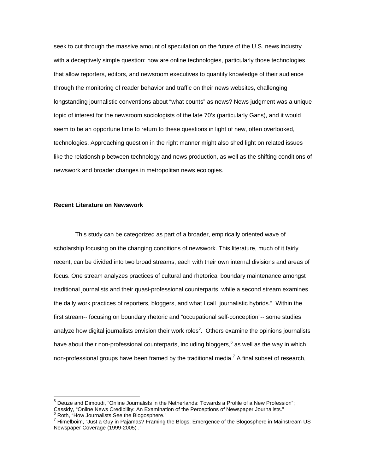seek to cut through the massive amount of speculation on the future of the U.S. news industry with a deceptively simple question: how are online technologies, particularly those technologies that allow reporters, editors, and newsroom executives to quantify knowledge of their audience through the monitoring of reader behavior and traffic on their news websites, challenging longstanding journalistic conventions about "what counts" as news? News judgment was a unique topic of interest for the newsroom sociologists of the late 70's (particularly Gans), and it would seem to be an opportune time to return to these questions in light of new, often overlooked, technologies. Approaching question in the right manner might also shed light on related issues like the relationship between technology and news production, as well as the shifting conditions of newswork and broader changes in metropolitan news ecologies.

## **Recent Literature on Newswork**

 $\overline{a}$ 

This study can be categorized as part of a broader, empirically oriented wave of scholarship focusing on the changing conditions of newswork. This literature, much of it fairly recent, can be divided into two broad streams, each with their own internal divisions and areas of focus. One stream analyzes practices of cultural and rhetorical boundary maintenance amongst traditional journalists and their quasi-professional counterparts, while a second stream examines the daily work practices of reporters, bloggers, and what I call "journalistic hybrids." Within the first stream-- focusing on boundary rhetoric and "occupational self-conception"-- some studies analyze how digital journalists envision their work roles<sup>5</sup>. Others examine the opinions journalists have about their non-professional counterparts, including bloggers,  $6$  as well as the way in which non-professional groups have been framed by the traditional media.<sup>7</sup> A final subset of research,

<sup>5</sup> Deuze and Dimoudi, "Online Journalists in the Netherlands: Towards a Profile of a New Profession"; Cassidy, "Online News Credibility: An Examination of the Perceptions of Newspaper Journalists." 6 Roth, "How Journalists See the Blogosphere."

<sup>&</sup>lt;sup>7</sup> Himelboim, "Just a Guy in Pajamas? Framing the Blogs: Emergence of the Blogosphere in Mainstream US Newspaper Coverage (1999-2005) ."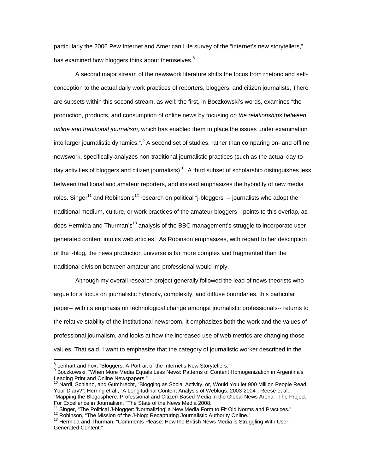particularly the 2006 Pew Internet and American Life survey of the "internet's new storytellers," has examined how bloggers think about themselves. $8$ 

A second major stream of the newswork literature shifts the focus from rhetoric and selfconception to the actual daily work practices of reporters, bloggers, and citizen journalists, There are subsets within this second stream, as well: the first, in Boczkowski's words, examines "the production, products, and consumption of online news by focusing *on the relationships between online and traditional journalism*, which has enabled them to place the issues under examination into larger journalistic dynamics.".<sup>9</sup> A second set of studies, rather than comparing on- and offline newswork, specifically analyzes non-traditional journalistic practices (such as the actual day-today activities of bloggers and citizen journalists)<sup>10</sup>. A third subset of scholarship distinguishes less between traditional and amateur reporters, and instead emphasizes the hybridity of new media roles. Singer<sup>11</sup> and Robinson's<sup>12</sup> research on political "j-bloggers" – journalists who adopt the traditional medium, culture, or work practices of the amateur bloggers—points to this overlap, as does Hermida and Thurman's<sup>13</sup> analysis of the BBC management's struggle to incorporate user generated content into its web articles. As Robinson emphasizes, with regard to her description of the j-blog, the news production universe is far more complex and fragmented than the traditional division between amateur and professional would imply.

Although my overall research project generally followed the lead of news theorists who argue for a focus on journalistic hybridity, complexity, and diffuse boundaries, this particular paper-- with its emphasis on technological change amongst journalistic professionals-- returns to the relative stability of the institutional newsroom. It emphasizes both the work and the values of professional journalism, and looks at how the increased use of web metrics are changing those values. That said, I want to emphasize that the category of journalistic worker described in the

<sup>&</sup>lt;sup>8</sup> Lenhart and Fox, "Bloggers: A Portrait of the Internet's New Storytellers."<br><sup>9</sup> Beazkauski, "When Mars Media Fauela Less Naus: Petterne of Centert.

<sup>&</sup>lt;sup>9</sup> Boczkowski, "When More Media Equals Less News: Patterns of Content Homogenization in Argentina's Leading Print and Online Newspapers."

<sup>&</sup>lt;sup>10</sup> Nardi, Schiano, and Gumbrecht, "Blogging as Social Activity, or, Would You let 900 Million People Read Your Diary?"; Herring et al., "A Longitudinal Content Analysis of Weblogs: 2003-2004"; Reese et al., "Mapping the Blogosphere: Professional and Citizen-Based Media in the Global News Arena"; The Project

<sup>&</sup>lt;sup>11</sup> Singer, "The Political J-blogger: 'Normalizing' a New Media Form to Fit Old Norms and Practices."<br><sup>12</sup> Robinson, "The Mission of the J-blog: Recapturing Journalistic Authority Online."<br><sup>13</sup> Hermida and Thurman, "Comm

Generated Content."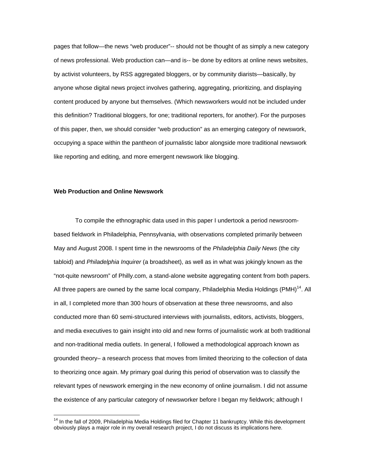pages that follow—the news "web producer"-- should not be thought of as simply a new category of news professional. Web production can—and is-- be done by editors at online news websites, by activist volunteers, by RSS aggregated bloggers, or by community diarists—basically, by anyone whose digital news project involves gathering, aggregating, prioritizing, and displaying content produced by anyone but themselves. (Which newsworkers would not be included under this definition? Traditional bloggers, for one; traditional reporters, for another). For the purposes of this paper, then, we should consider "web production" as an emerging category of newswork, occupying a space within the pantheon of journalistic labor alongside more traditional newswork like reporting and editing, and more emergent newswork like blogging.

### **Web Production and Online Newswork**

 $\overline{a}$ 

To compile the ethnographic data used in this paper I undertook a period newsroombased fieldwork in Philadelphia, Pennsylvania, with observations completed primarily between May and August 2008. I spent time in the newsrooms of the *Philadelphia Daily News* (the city tabloid) and *Philadelphia Inquirer* (a broadsheet), as well as in what was jokingly known as the "not-quite newsroom" of Philly.com, a stand-alone website aggregating content from both papers. All three papers are owned by the same local company, Philadelphia Media Holdings (PMH)<sup>14</sup>. All in all, I completed more than 300 hours of observation at these three newsrooms, and also conducted more than 60 semi-structured interviews with journalists, editors, activists, bloggers, and media executives to gain insight into old and new forms of journalistic work at both traditional and non-traditional media outlets. In general, I followed a methodological approach known as grounded theory– a research process that moves from limited theorizing to the collection of data to theorizing once again. My primary goal during this period of observation was to classify the relevant types of newswork emerging in the new economy of online journalism. I did not assume the existence of any particular category of newsworker before I began my fieldwork; although I

<sup>&</sup>lt;sup>14</sup> In the fall of 2009, Philadelphia Media Holdings filed for Chapter 11 bankruptcy. While this development obviously plays a major role in my overall research project, I do not discuss its implications here.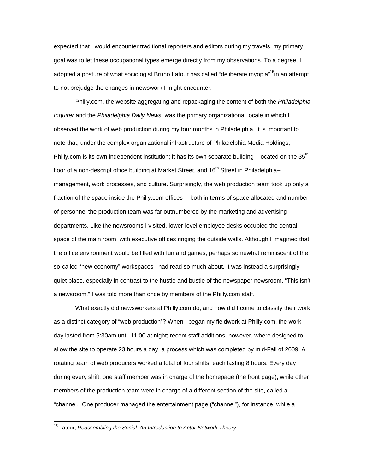expected that I would encounter traditional reporters and editors during my travels, my primary goal was to let these occupational types emerge directly from my observations. To a degree, I adopted a posture of what sociologist Bruno Latour has called "deliberate myopia"<sup>15</sup>in an attempt to not prejudge the changes in newswork I might encounter.

Philly.com, the website aggregating and repackaging the content of both the *Philadelphia Inquirer* and the *Philadelphia Daily News*, was the primary organizational locale in which I observed the work of web production during my four months in Philadelphia. It is important to note that, under the complex organizational infrastructure of Philadelphia Media Holdings, Philly.com is its own independent institution; it has its own separate building-- located on the 35<sup>th</sup> floor of a non-descript office building at Market Street, and 16<sup>th</sup> Street in Philadelphia-management, work processes, and culture. Surprisingly, the web production team took up only a fraction of the space inside the Philly.com offices— both in terms of space allocated and number of personnel the production team was far outnumbered by the marketing and advertising departments. Like the newsrooms I visited, lower-level employee desks occupied the central space of the main room, with executive offices ringing the outside walls. Although I imagined that the office environment would be filled with fun and games, perhaps somewhat reminiscent of the so-called "new economy" workspaces I had read so much about. It was instead a surprisingly quiet place, especially in contrast to the hustle and bustle of the newspaper newsroom. "This isn't a newsroom," I was told more than once by members of the Philly.com staff.

 What exactly did newsworkers at Philly.com do, and how did I come to classify their work as a distinct category of "web production"? When I began my fieldwork at Philly.com, the work day lasted from 5:30am until 11:00 at night; recent staff additions, however, where designed to allow the site to operate 23 hours a day, a process which was completed by mid-Fall of 2009. A rotating team of web producers worked a total of four shifts, each lasting 8 hours. Every day during every shift, one staff member was in charge of the homepage (the front page), while other members of the production team were in charge of a different section of the site, called a "channel." One producer managed the entertainment page ("channel"), for instance, while a

<sup>15</sup> Latour, *Reassembling the Social: An Introduction to Actor-Network-Theory*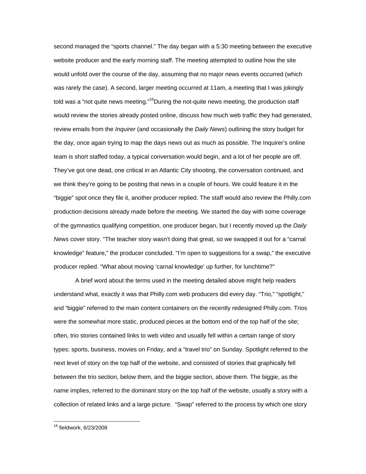second managed the "sports channel." The day began with a 5:30 meeting between the executive website producer and the early morning staff. The meeting attempted to outline how the site would unfold over the course of the day, assuming that no major news events occurred (which was rarely the case). A second, larger meeting occurred at 11am, a meeting that I was jokingly told was a "not quite news meeting."<sup>16</sup>During the not-quite news meeting, the production staff would review the stories already posted online, discuss how much web traffic they had generated, review emails from the *Inquirer* (and occasionally the *Daily News*) outlining the story budget for the day, once again trying to map the days news out as much as possible. The Inquirer's online team is short staffed today, a typical conversation would begin, and a lot of her people are off. They've got one dead, one critical in an Atlantic City shooting, the conversation continued, and we think they're going to be posting that news in a couple of hours. We could feature it in the "biggie" spot once they file it, another producer replied. The staff would also review the Philly.com production decisions already made before the meeting. We started the day with some coverage of the gymnastics qualifying competition, one producer began, but I recently moved up the *Daily News* cover story. "The teacher story wasn't doing that great, so we swapped it out for a "carnal knowledge" feature," the producer concluded. "I'm open to suggestions for a swap," the executive producer replied. "What about moving 'carnal knowledge' up further, for lunchtime?"

 A brief word about the terms used in the meeting detailed above might help readers understand what, exactly it was that Philly.com web producers did every day. "Trio," "spotlight," and "biggie" referred to the main content containers on the recently redesigned Philly.com. Trios were the somewhat more static, produced pieces at the bottom end of the top half of the site; often, trio stories contained links to web video and usually fell within a certain range of story types: sports, business, movies on Friday, and a "travel trio" on Sunday. Spotlight referred to the next level of story on the top half of the website, and consisted of stories that graphically fell between the trio section, below them, and the biggie section, above them. The biggie, as the name implies, referred to the dominant story on the top half of the website, usually a story with a collection of related links and a large picture. "Swap" referred to the process by which one story

<sup>16</sup> fieldwork, 6/23/2008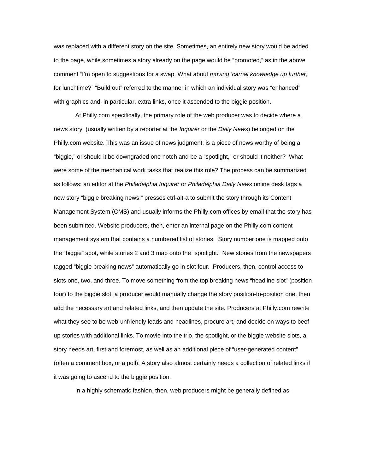was replaced with a different story on the site. Sometimes, an entirely new story would be added to the page, while sometimes a story already on the page would be "promoted," as in the above comment "I'm open to suggestions for a swap. What about *moving 'carnal knowledge up further*, for lunchtime?" "Build out" referred to the manner in which an individual story was "enhanced" with graphics and, in particular, extra links, once it ascended to the biggie position.

 At Philly.com specifically, the primary role of the web producer was to decide where a news story (usually written by a reporter at the *Inquirer* or the *Daily News*) belonged on the Philly.com website. This was an issue of news judgment: is a piece of news worthy of being a "biggie," or should it be downgraded one notch and be a "spotlight," or should it neither? What were some of the mechanical work tasks that realize this role? The process can be summarized as follows: an editor at the *Philadelphia Inquirer* or *Philadelphia Daily News* online desk tags a new story "biggie breaking news," presses ctrl-alt-a to submit the story through its Content Management System (CMS) and usually informs the Philly.com offices by email that the story has been submitted. Website producers, then, enter an internal page on the Philly.com content management system that contains a numbered list of stories. Story number one is mapped onto the "biggie" spot, while stories 2 and 3 map onto the "spotlight." New stories from the newspapers tagged "biggie breaking news" automatically go in slot four. Producers, then, control access to slots one, two, and three. To move something from the top breaking news "headline slot" (position four) to the biggie slot, a producer would manually change the story position-to-position one, then add the necessary art and related links, and then update the site. Producers at Philly.com rewrite what they see to be web-unfriendly leads and headlines, procure art, and decide on ways to beef up stories with additional links. To movie into the trio, the spotlight, or the biggie website slots, a story needs art, first and foremost, as well as an additional piece of "user-generated content" (often a comment box, or a poll). A story also almost certainly needs a collection of related links if it was going to ascend to the biggie position.

In a highly schematic fashion, then, web producers might be generally defined as: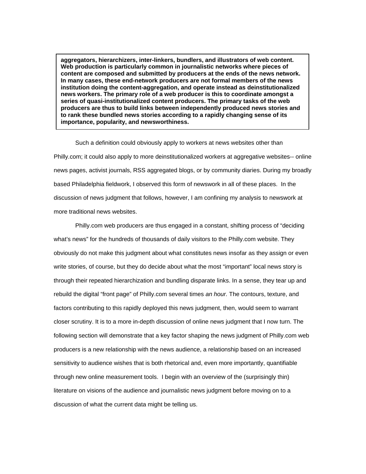**aggregators, hierarchizers, inter-linkers, bundlers, and illustrators of web content. Web production is particularly common in journalistic networks where pieces of content are composed and submitted by producers at the ends of the news network. In many cases, these end-network producers are not formal members of the news institution doing the content-aggregation, and operate instead as deinstitutionalized news workers. The primary role of a web producer is this to coordinate amongst a series of quasi-institutionalized content producers. The primary tasks of the web producers are thus to build links between independently produced news stories and to rank these bundled news stories according to a rapidly changing sense of its importance, popularity, and newsworthiness.** 

Such a definition could obviously apply to workers at news websites other than Philly.com; it could also apply to more deinstitutionalized workers at aggregative websites-- online news pages, activist journals, RSS aggregated blogs, or by community diaries. During my broadly based Philadelphia fieldwork, I observed this form of newswork in all of these places. In the discussion of news judgment that follows, however, I am confining my analysis to newswork at more traditional news websites.

 Philly.com web producers are thus engaged in a constant, shifting process of "deciding what's news" for the hundreds of thousands of daily visitors to the Philly.com website. They obviously do not make this judgment about what constitutes news insofar as they assign or even write stories, of course, but they do decide about what the most "important" local news story is through their repeated hierarchization and bundling disparate links. In a sense, they tear up and rebuild the digital "front page" of Philly.com several times *an hour.* The contours, texture, and factors contributing to this rapidly deployed this news judgment, then, would seem to warrant closer scrutiny. It is to a more in-depth discussion of online news judgment that I now turn. The following section will demonstrate that a key factor shaping the news judgment of Philly.com web producers is a new relationship with the news audience, a relationship based on an increased sensitivity to audience wishes that is both rhetorical and, even more importantly, quantifiable through new online measurement tools. I begin with an overview of the (surprisingly thin) literature on visions of the audience and journalistic news judgment before moving on to a discussion of what the current data might be telling us.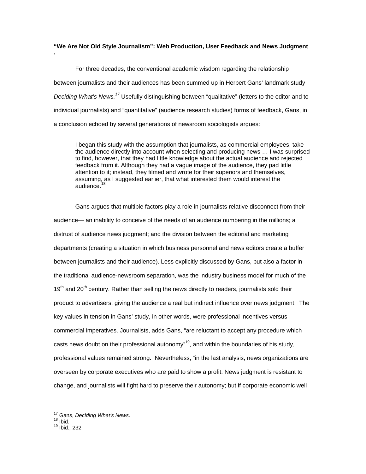# **"We Are Not Old Style Journalism": Web Production, User Feedback and News Judgment**

 For three decades, the conventional academic wisdom regarding the relationship between journalists and their audiences has been summed up in Herbert Gans' landmark study *Deciding What's News.<sup>17</sup>* Usefully distinguishing between "qualitative" (letters to the editor and to individual journalists) and "quantitative" (audience research studies) forms of feedback, Gans, in a conclusion echoed by several generations of newsroom sociologists argues:

I began this study with the assumption that journalists, as commercial employees, take the audience directly into account when selecting and producing news … I was surprised to find, however, that they had little knowledge about the actual audience and rejected feedback from it. Although they had a vague image of the audience, they pad little attention to it; instead, they filmed and wrote for their superiors and themselves, assuming, as I suggested earlier, that what interested them would interest the audience.<sup>1</sup>

Gans argues that multiple factors play a role in journalists relative disconnect from their audience— an inability to conceive of the needs of an audience numbering in the millions; a distrust of audience news judgment; and the division between the editorial and marketing departments (creating a situation in which business personnel and news editors create a buffer between journalists and their audience). Less explicitly discussed by Gans, but also a factor in the traditional audience-newsroom separation, was the industry business model for much of the  $19<sup>th</sup>$  and 20<sup>th</sup> century. Rather than selling the news directly to readers, journalists sold their product to advertisers, giving the audience a real but indirect influence over news judgment. The key values in tension in Gans' study, in other words, were professional incentives versus commercial imperatives. Journalists, adds Gans, "are reluctant to accept any procedure which casts news doubt on their professional autonomy"<sup>19</sup>, and within the boundaries of his study, professional values remained strong. Nevertheless, "in the last analysis, news organizations are overseen by corporate executives who are paid to show a profit. News judgment is resistant to change, and journalists will fight hard to preserve their autonomy; but if corporate economic well

 $\overline{a}$ 

'

<sup>&</sup>lt;sup>17</sup> Gans, *Deciding What's News*.<br><sup>18</sup> Ibid.<br><sup>19</sup> Ibid., 232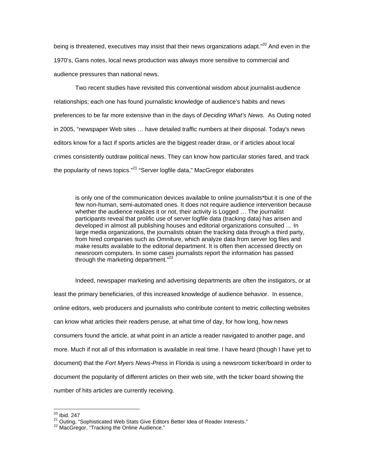being is threatened, executives may insist that their news organizations adapt."<sup>20</sup> And even in the 1970's, Gans notes, local news production was always more sensitive to commercial and audience pressures than national news.

Two recent studies have revisited this conventional wisdom about journalist-audience relationships; each one has found journalistic knowledge of audience's habits and news preferences to be far more extensive than in the days of *Deciding What's News.* As Outing noted in 2005, "newspaper Web sites … have detailed traffic numbers at their disposal. Today's news editors know for a fact if sports articles are the biggest reader draw, or if articles about local crimes consistently outdraw political news. They can know how particular stories fared, and track the popularity of news topics."<sup>21</sup> "Server logfile data," MacGregor elaborates

is only one of the communication devices available to online journalists\*but it is one of the few non-human, semi-automated ones. It does not require audience intervention because whether the audience realizes it or not, their activity is Logged ... The journalist participants reveal that prolific use of server logfile data (tracking data) has arisen and developed in almost all publishing houses and editorial organizations consulted … In large media organizations, the journalists obtain the tracking data through a third party, from hired companies such as Omniture, which analyze data from server log files and make results available to the editorial department. It is often then accessed directly on newsroom computers. In some cases journalists report the information has passed through the marketing department."<sup>22</sup>

Indeed, newspaper marketing and advertising departments are often the instigators, or at least the primary beneficiaries, of this increased knowledge of audience behavior. In essence, online editors, web producers and journalists who contribute content to metric collecting websites can know what articles their readers peruse, at what time of day, for how long, how news consumers found the article, at what point in an article a reader navigated to another page, and more. Much if not all of this information is available in real time. I have heard (though I have yet to document) that the *Fort Myers News-Press* in Florida is using a newsroom ticker/board in order to document the popularity of different articles on their web site, with the ticker board showing the number of hits articles are currently receiving.

 $20$  Ibid. 247

<sup>&</sup>lt;sup>21</sup> Outing, "Sophisticated Web Stats Give Editors Better Idea of Reader Interests."<br><sup>22</sup> MacGregor, "Tracking the Online Audience."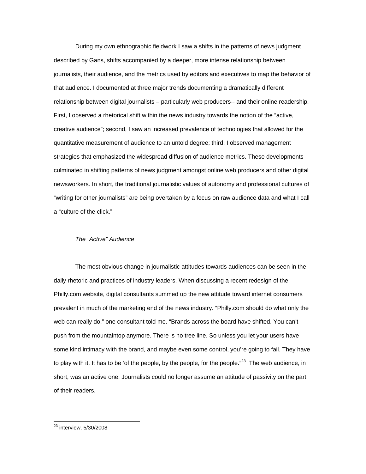During my own ethnographic fieldwork I saw a shifts in the patterns of news judgment described by Gans, shifts accompanied by a deeper, more intense relationship between journalists, their audience, and the metrics used by editors and executives to map the behavior of that audience. I documented at three major trends documenting a dramatically different relationship between digital journalists – particularly web producers-- and their online readership. First, I observed a rhetorical shift within the news industry towards the notion of the "active, creative audience"; second, I saw an increased prevalence of technologies that allowed for the quantitative measurement of audience to an untold degree; third, I observed management strategies that emphasized the widespread diffusion of audience metrics. These developments culminated in shifting patterns of news judgment amongst online web producers and other digital newsworkers. In short, the traditional journalistic values of autonomy and professional cultures of "writing for other journalists" are being overtaken by a focus on raw audience data and what I call a "culture of the click."

### *The "Active" Audience*

The most obvious change in journalistic attitudes towards audiences can be seen in the daily rhetoric and practices of industry leaders. When discussing a recent redesign of the Philly.com website, digital consultants summed up the new attitude toward internet consumers prevalent in much of the marketing end of the news industry. "Philly.com should do what only the web can really do," one consultant told me. "Brands across the board have shifted. You can't push from the mountaintop anymore. There is no tree line. So unless you let your users have some kind intimacy with the brand, and maybe even some control, you're going to fail. They have to play with it. It has to be 'of the people, by the people, for the people."<sup>23</sup> The web audience, in short, was an active one. Journalists could no longer assume an attitude of passivity on the part of their readers.

 $^{23}$  interview, 5/30/2008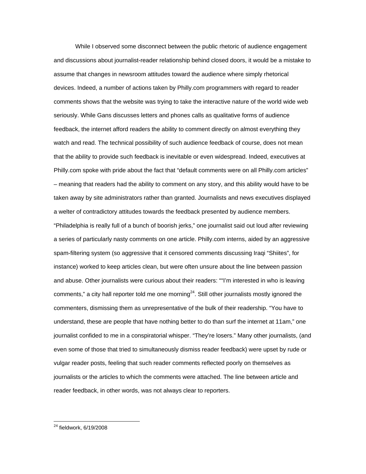While I observed some disconnect between the public rhetoric of audience engagement and discussions about journalist-reader relationship behind closed doors, it would be a mistake to assume that changes in newsroom attitudes toward the audience where simply rhetorical devices. Indeed, a number of actions taken by Philly.com programmers with regard to reader comments shows that the website was trying to take the interactive nature of the world wide web seriously. While Gans discusses letters and phones calls as qualitative forms of audience feedback, the internet afford readers the ability to comment directly on almost everything they watch and read. The technical possibility of such audience feedback of course, does not mean that the ability to provide such feedback is inevitable or even widespread. Indeed, executives at Philly.com spoke with pride about the fact that "default comments were on all Philly.com articles" – meaning that readers had the ability to comment on any story, and this ability would have to be taken away by site administrators rather than granted. Journalists and news executives displayed a welter of contradictory attitudes towards the feedback presented by audience members. "Philadelphia is really full of a bunch of boorish jerks," one journalist said out loud after reviewing a series of particularly nasty comments on one article. Philly.com interns, aided by an aggressive spam-filtering system (so aggressive that it censored comments discussing Iraqi "Shiites", for instance) worked to keep articles clean, but were often unsure about the line between passion and abuse. Other journalists were curious about their readers: ""I'm interested in who is leaving comments," a city hall reporter told me one morning<sup>24</sup>. Still other journalists mostly ignored the commenters, dismissing them as unrepresentative of the bulk of their readership. "You have to understand, these are people that have nothing better to do than surf the internet at 11am," one journalist confided to me in a conspiratorial whisper. "They're losers." Many other journalists, (and even some of those that tried to simultaneously dismiss reader feedback) were upset by rude or vulgar reader posts, feeling that such reader comments reflected poorly on themselves as journalists or the articles to which the comments were attached. The line between article and reader feedback, in other words, was not always clear to reporters.

<sup>&</sup>lt;sup>24</sup> fieldwork, 6/19/2008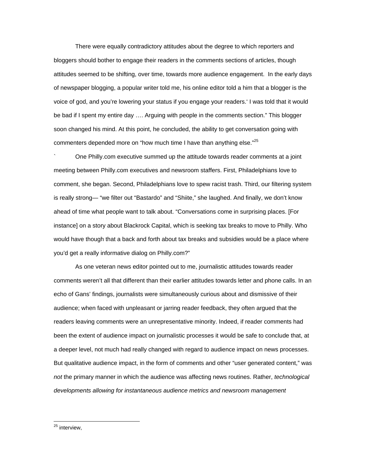There were equally contradictory attitudes about the degree to which reporters and bloggers should bother to engage their readers in the comments sections of articles, though attitudes seemed to be shifting, over time, towards more audience engagement. In the early days of newspaper blogging, a popular writer told me, his online editor told a him that a blogger is the voice of god, and you're lowering your status if you engage your readers.' I was told that it would be bad if I spent my entire day …. Arguing with people in the comments section." This blogger soon changed his mind. At this point, he concluded, the ability to get conversation going with commenters depended more on "how much time I have than anything else."<sup>25</sup>

` One Philly.com executive summed up the attitude towards reader comments at a joint meeting between Philly.com executives and newsroom staffers. First, Philadelphians love to comment, she began. Second, Philadelphians love to spew racist trash. Third, our filtering system is really strong— "we filter out "Bastardo" and "Shiite," she laughed. And finally, we don't know ahead of time what people want to talk about. "Conversations come in surprising places. [For instance] on a story about Blackrock Capital, which is seeking tax breaks to move to Philly. Who would have though that a back and forth about tax breaks and subsidies would be a place where you'd get a really informative dialog on Philly.com?"

As one veteran news editor pointed out to me, journalistic attitudes towards reader comments weren't all that different than their earlier attitudes towards letter and phone calls. In an echo of Gans' findings, journalists were simultaneously curious about and dismissive of their audience; when faced with unpleasant or jarring reader feedback, they often argued that the readers leaving comments were an unrepresentative minority. Indeed, if reader comments had been the extent of audience impact on journalistic processes it would be safe to conclude that, at a deeper level, not much had really changed with regard to audience impact on news processes. But qualitative audience impact, in the form of comments and other "user generated content," was *not* the primary manner in which the audience was affecting news routines. Rather, *technological developments allowing for instantaneous audience metrics and newsroom management* 

 $\overline{a}$ <sup>25</sup> interview,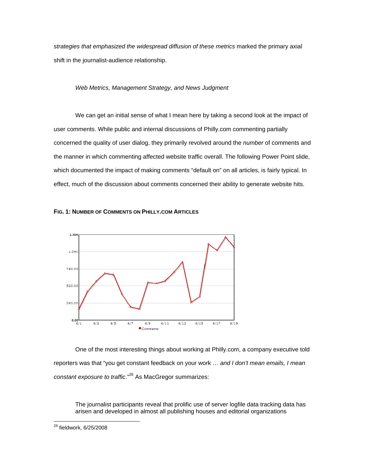*strategies that emphasized the widespread diffusion of these metrics* marked the primary axial shift in the journalist-audience relationship.

# *Web Metrics, Management Strategy, and News Judgment*

 We can get an initial sense of what I mean here by taking a second look at the impact of user comments. While public and internal discussions of Philly.com commenting partially concerned the quality of user dialog, they primarily revolved around the *number* of comments and the manner in which commenting affected website traffic overall. The following Power Point slide, which documented the impact of making comments "default on" on all articles, is fairly typical. In effect, much of the discussion about comments concerned their ability to generate website hits.





One of the most interesting things about working at Philly.com, a company executive told reporters was that "you get constant feedback on your work … *and I don't mean emails, I mean constant exposure to traffic*."26 As MacGregor summarizes:

The journalist participants reveal that prolific use of server logfile data tracking data has arisen and developed in almost all publishing houses and editorial organizations

 $\overline{a}$ <sup>26</sup> fieldwork, 6/25/2008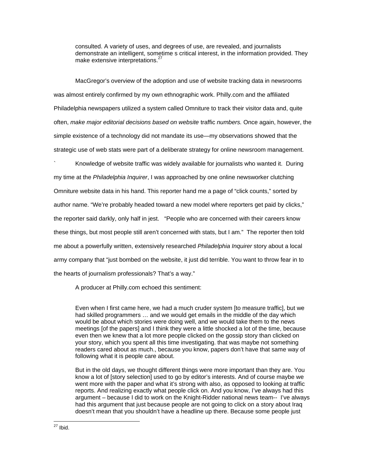consulted. A variety of uses, and degrees of use, are revealed, and journalists demonstrate an intelligent, sometime s critical interest, in the information provided. They make extensive interpretations.<sup>2</sup>

 MacGregor's overview of the adoption and use of website tracking data in newsrooms was almost entirely confirmed by my own ethnographic work. Philly.com and the affiliated Philadelphia newspapers utilized a system called Omniture to track their visitor data and, quite often, *make major editorial decisions based on website* traffic *numbers.* Once again, however, the simple existence of a technology did not mandate its use—my observations showed that the strategic use of web stats were part of a deliberate strategy for online newsroom management.

` Knowledge of website traffic was widely available for journalists who wanted it. During my time at the *Philadelphia Inquirer*, I was approached by one online newsworker clutching Omniture website data in his hand. This reporter hand me a page of "click counts," sorted by author name. "We're probably headed toward a new model where reporters get paid by clicks," the reporter said darkly, only half in jest. "People who are concerned with their careers know these things, but most people still aren't concerned with stats, but I am." The reporter then told me about a powerfully written, extensively researched *Philadelphia Inquirer* story about a local army company that "just bombed on the website, it just did terrible. You want to throw fear in to the hearts of journalism professionals? That's a way."

A producer at Philly.com echoed this sentiment:

Even when I first came here, we had a much cruder system [to measure traffic], but we had skilled programmers … and we would get emails in the middle of the day which would be about which stories were doing well, and we would take them to the news meetings [of the papers] and I think they were a little shocked a lot of the time, because even then we knew that a lot more people clicked on the gossip story than clicked on your story, which you spent all this time investigating. that was maybe not something readers cared about as much., because you know, papers don't have that same way of following what it is people care about.

But in the old days, we thought different things were more important than they are. You know a lot of [story selection] used to go by editor's interests. And of course maybe we went more with the paper and what it's strong with also, as opposed to looking at traffic reports. And realizing exactly what people click on. And you know, I've always had this argument – because I did to work on the Knight-Ridder national news team-- I've always had this argument that just because people are not going to click on a story about Iraq doesn't mean that you shouldn't have a headline up there. Because some people just

 $\overline{a}$  $27$  Ibid.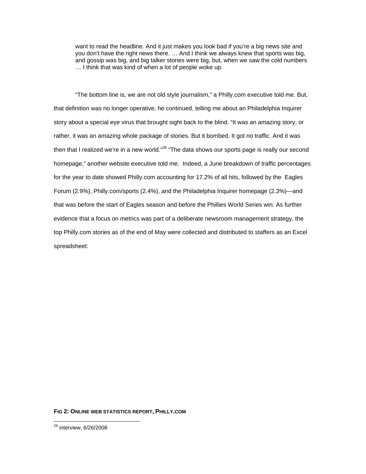want to read the headline. And it just makes you look bad if you're a big news site and you don't have the right news there. … And I think we always knew that sports was big, and gossip was big, and big talker stories were big, but, when we saw the cold numbers … I think that was kind of when a lot of people woke up.

"The bottom line is, we are not old style journalism," a Philly.com executive told me. But, that definition was no longer operative, he continued, telling me about an Philadelphia Inquirer story about a special eye virus that brought sight back to the blind. "It was an amazing story, or rather, it was an amazing whole package of stories. But it bombed. It got no traffic. And it was then that I realized we're in a new world."<sup>28</sup> "The data shows our sports page is really our second homepage," another website executive told me. Indeed, a June breakdown of traffic percentages for the year to date showed Philly.com accounting for 17.2% of all hits, followed by the Eagles Forum (2.9%), Philly.com/sports (2.4%), and the Philadelphia Inquirer homepage (2.3%)—and that was before the start of Eagles season and before the Phillies World Series win. As further evidence that a focus on metrics was part of a deliberate newsroom management strategy, the top Philly.com stories as of the end of May were collected and distributed to staffers as an Excel spreadsheet:

## **FIG 2: ONLINE WEB STATISTICS REPORT, PHILLY.COM**

 $\overline{a}$ <sup>28</sup> interview, 6/26/2008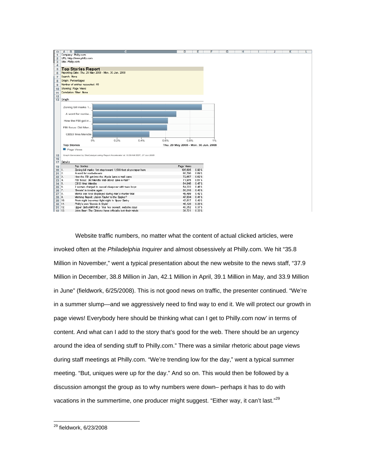

Website traffic numbers, no matter what the content of actual clicked articles, were invoked often at the *Philadelphia Inquirer* and almost obsessively at Philly.com. We hit "35.8 Million in November," went a typical presentation about the new website to the news staff, "37.9 Million in December, 38.8 Million in Jan, 42.1 Million in April, 39.1 Million in May, and 33.9 Million in June" (fieldwork, 6/25/2008). This is not good news on traffic, the presenter continued. "We're in a summer slump—and we aggressively need to find way to end it. We will protect our growth in page views! Everybody here should be thinking what can I get to Philly.com now' in terms of content. And what can I add to the story that's good for the web. There should be an urgency around the idea of sending stuff to Philly.com." There was a similar rhetoric about page views during staff meetings at Philly.com. "We're trending low for the day," went a typical summer meeting. "But, uniques were up for the day." And so on. This would then be followed by a discussion amongst the group as to why numbers were down– perhaps it has to do with vacations in the summertime, one producer might suggest. "Either way, it can't last."<sup>29</sup>

 $\overline{a}$ <sup>29</sup> fieldwork, 6/23/2008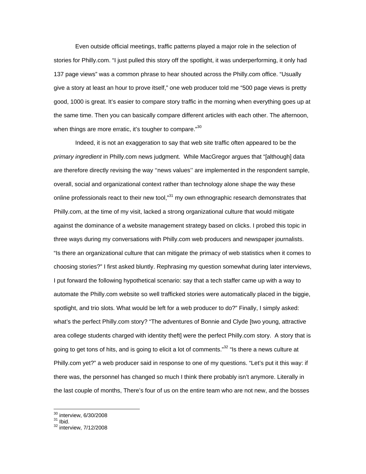Even outside official meetings, traffic patterns played a major role in the selection of stories for Philly.com. "I just pulled this story off the spotlight, it was underperforming, it only had 137 page views" was a common phrase to hear shouted across the Philly.com office. "Usually give a story at least an hour to prove itself," one web producer told me "500 page views is pretty good, 1000 is great. It's easier to compare story traffic in the morning when everything goes up at the same time. Then you can basically compare different articles with each other. The afternoon, when things are more erratic, it's tougher to compare." $30$ 

 Indeed, it is not an exaggeration to say that web site traffic often appeared to be the *primary ingredient* in Philly.com news judgment. While MacGregor argues that "[although] data are therefore directly revising the way ''news values'' are implemented in the respondent sample, overall, social and organizational context rather than technology alone shape the way these online professionals react to their new tool,"<sup>31</sup> my own ethnographic research demonstrates that Philly.com, at the time of my visit, lacked a strong organizational culture that would mitigate against the dominance of a website management strategy based on clicks. I probed this topic in three ways during my conversations with Philly.com web producers and newspaper journalists. "Is there an organizational culture that can mitigate the primacy of web statistics when it comes to choosing stories?" I first asked bluntly. Rephrasing my question somewhat during later interviews, I put forward the following hypothetical scenario: say that a tech staffer came up with a way to automate the Philly.com website so well trafficked stories were automatically placed in the biggie, spotlight, and trio slots. What would be left for a web producer to do?" Finally, I simply asked: what's the perfect Philly.com story? "The adventures of Bonnie and Clyde [two young, attractive area college students charged with identity theft] were the perfect Philly.com story. A story that is going to get tons of hits, and is going to elicit a lot of comments."<sup>32</sup> "Is there a news culture at Philly.com yet?" a web producer said in response to one of my questions. "Let's put it this way: if there was, the personnel has changed so much I think there probably isn't anymore. Literally in the last couple of months, There's four of us on the entire team who are not new, and the bosses

 $30$  interview, 6/30/2008

 $\frac{31 \text{ libid}}{32 \text{ interview}}$ , 7/12/2008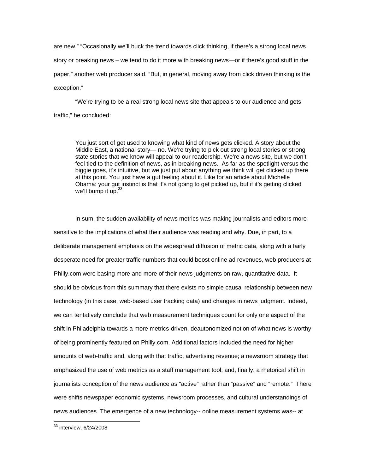are new." "Occasionally we'll buck the trend towards click thinking, if there's a strong local news story or breaking news – we tend to do it more with breaking news—or if there's good stuff in the paper," another web producer said. "But, in general, moving away from click driven thinking is the exception."

 "We're trying to be a real strong local news site that appeals to our audience and gets traffic," he concluded:

You just sort of get used to knowing what kind of news gets clicked. A story about the Middle East, a national story— no. We're trying to pick out strong local stories or strong state stories that we know will appeal to our readership. We're a news site, but we don't feel tied to the definition of news, as in breaking news. As far as the spotlight versus the biggie goes, it's intuitive, but we just put about anything we think will get clicked up there at this point. You just have a gut feeling about it. Like for an article about Michelle Obama: your gut instinct is that it's not going to get picked up, but if it's getting clicked we'll bump it up.  $33$ 

 In sum, the sudden availability of news metrics was making journalists and editors more sensitive to the implications of what their audience was reading and why. Due, in part, to a deliberate management emphasis on the widespread diffusion of metric data, along with a fairly desperate need for greater traffic numbers that could boost online ad revenues, web producers at Philly.com were basing more and more of their news judgments on raw, quantitative data. It should be obvious from this summary that there exists no simple causal relationship between new technology (in this case, web-based user tracking data) and changes in news judgment. Indeed, we can tentatively conclude that web measurement techniques count for only one aspect of the shift in Philadelphia towards a more metrics-driven, deautonomized notion of what news is worthy of being prominently featured on Philly.com. Additional factors included the need for higher amounts of web-traffic and, along with that traffic, advertising revenue; a newsroom strategy that emphasized the use of web metrics as a staff management tool; and, finally, a rhetorical shift in journalists conception of the news audience as "active" rather than "passive" and "remote." There were shifts newspaper economic systems, newsroom processes, and cultural understandings of news audiences. The emergence of a new technology-- online measurement systems was-- at

 $33$  interview, 6/24/2008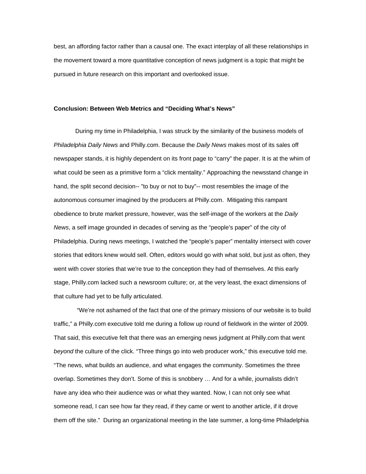best, an affording factor rather than a causal one. The exact interplay of all these relationships in the movement toward a more quantitative conception of news judgment is a topic that might be pursued in future research on this important and overlooked issue.

## **Conclusion: Between Web Metrics and "Deciding What's News"**

During my time in Philadelphia, I was struck by the similarity of the business models of *Philadelphia Daily News* and Philly.com. Because the *Daily News* makes most of its sales off newspaper stands, it is highly dependent on its front page to "carry" the paper. It is at the whim of what could be seen as a primitive form a "click mentality." Approaching the newsstand change in hand, the split second decision-- "to buy or not to buy"-- most resembles the image of the autonomous consumer imagined by the producers at Philly.com. Mitigating this rampant obedience to brute market pressure, however, was the self-image of the workers at the *Daily News*, a self image grounded in decades of serving as the "people's paper" of the city of Philadelphia. During news meetings, I watched the "people's paper" mentality intersect with cover stories that editors knew would sell. Often, editors would go with what sold, but just as often, they went with cover stories that we're true to the conception they had of themselves. At this early stage, Philly.com lacked such a newsroom culture; or, at the very least, the exact dimensions of that culture had yet to be fully articulated.

 "We're not ashamed of the fact that one of the primary missions of our website is to build traffic," a Philly.com executive told me during a follow up round of fieldwork in the winter of 2009. That said, this executive felt that there was an emerging news judgment at Philly.com that went *beyond* the culture of the click. "Three things go into web producer work," this executive told me. "The news, what builds an audience, and what engages the community. Sometimes the three overlap. Sometimes they don't. Some of this is snobbery … And for a while, journalists didn't have any idea who their audience was or what they wanted. Now, I can not only see what someone read, I can see how far they read, if they came or went to another article, if it drove them off the site." During an organizational meeting in the late summer, a long-time Philadelphia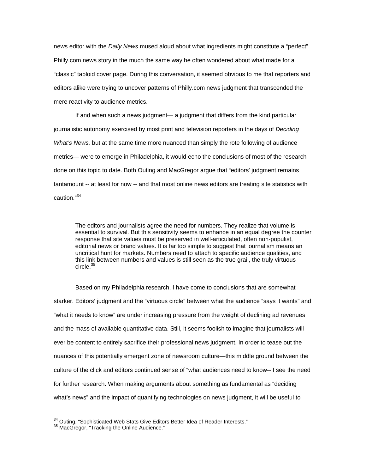news editor with the *Daily News* mused aloud about what ingredients might constitute a "perfect" Philly.com news story in the much the same way he often wondered about what made for a "classic" tabloid cover page. During this conversation, it seemed obvious to me that reporters and editors alike were trying to uncover patterns of Philly.com news judgment that transcended the mere reactivity to audience metrics.

If and when such a news judgment— a judgment that differs from the kind particular journalistic autonomy exercised by most print and television reporters in the days of *Deciding What's News,* but at the same time more nuanced than simply the rote following of audience metrics— were to emerge in Philadelphia, it would echo the conclusions of most of the research done on this topic to date. Both Outing and MacGregor argue that "editors' judgment remains tantamount -- at least for now -- and that most online news editors are treating site statistics with caution."34

The editors and journalists agree the need for numbers. They realize that volume is essential to survival. But this sensitivity seems to enhance in an equal degree the counter response that site values must be preserved in well-articulated, often non-populist, editorial news or brand values. It is far too simple to suggest that journalism means an uncritical hunt for markets. Numbers need to attach to specific audience qualities, and this link between numbers and values is still seen as the true grail, the truly virtuous circle.<sup>35</sup>

Based on my Philadelphia research, I have come to conclusions that are somewhat starker. Editors' judgment and the "virtuous circle" between what the audience "says it wants" and "what it needs to know" are under increasing pressure from the weight of declining ad revenues and the mass of available quantitative data. Still, it seems foolish to imagine that journalists will ever be content to entirely sacrifice their professional news judgment. In order to tease out the nuances of this potentially emergent zone of newsroom culture—this middle ground between the culture of the click and editors continued sense of "what audiences need to know-- I see the need for further research. When making arguments about something as fundamental as "deciding what's news" and the impact of quantifying technologies on news judgment, it will be useful to

<sup>&</sup>lt;sup>34</sup> Outing, "Sophisticated Web Stats Give Editors Better Idea of Reader Interests."<br><sup>35</sup> MacGregor, "Tracking the Online Audience."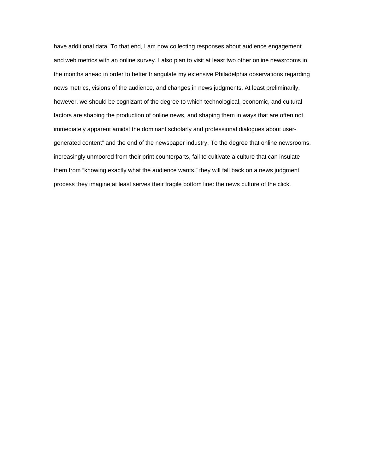have additional data. To that end, I am now collecting responses about audience engagement and web metrics with an online survey. I also plan to visit at least two other online newsrooms in the months ahead in order to better triangulate my extensive Philadelphia observations regarding news metrics, visions of the audience, and changes in news judgments. At least preliminarily, however, we should be cognizant of the degree to which technological, economic, and cultural factors are shaping the production of online news, and shaping them in ways that are often not immediately apparent amidst the dominant scholarly and professional dialogues about usergenerated content" and the end of the newspaper industry. To the degree that online newsrooms, increasingly unmoored from their print counterparts, fail to cultivate a culture that can insulate them from "knowing exactly what the audience wants," they will fall back on a news judgment process they imagine at least serves their fragile bottom line: the news culture of the click.